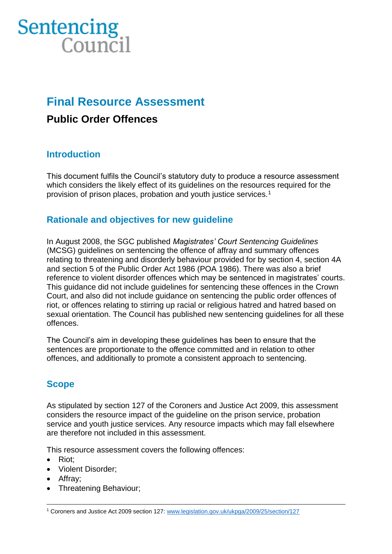# Sentencing Council

# **Final Resource Assessment**

# **Public Order Offences**

# **Introduction**

This document fulfils the Council's statutory duty to produce a resource assessment which considers the likely effect of its guidelines on the resources required for the provision of prison places, probation and youth justice services.<sup>1</sup>

# **Rationale and objectives for new guideline**

In August 2008, the SGC published *Magistrates' Court Sentencing Guidelines*  (MCSG) guidelines on sentencing the offence of affray and summary offences relating to threatening and disorderly behaviour provided for by section 4, section 4A and section 5 of the Public Order Act 1986 (POA 1986). There was also a brief reference to violent disorder offences which may be sentenced in magistrates' courts. This guidance did not include guidelines for sentencing these offences in the Crown Court, and also did not include guidance on sentencing the public order offences of riot, or offences relating to stirring up racial or religious hatred and hatred based on sexual orientation. The Council has published new sentencing guidelines for all these offences.

The Council's aim in developing these guidelines has been to ensure that the sentences are proportionate to the offence committed and in relation to other offences, and additionally to promote a consistent approach to sentencing.

# **Scope**

As stipulated by section 127 of the Coroners and Justice Act 2009, this assessment considers the resource impact of the guideline on the prison service, probation service and youth justice services. Any resource impacts which may fall elsewhere are therefore not included in this assessment.

This resource assessment covers the following offences:

- Riot;
- Violent Disorder;
- Affray;

 $\overline{a}$ 

• Threatening Behaviour;

<sup>1</sup> Coroners and Justice Act 2009 section 127: [www.legislation.gov.uk/ukpga/2009/25/section/127](http://www.legislation.gov.uk/ukpga/2009/25/section/127)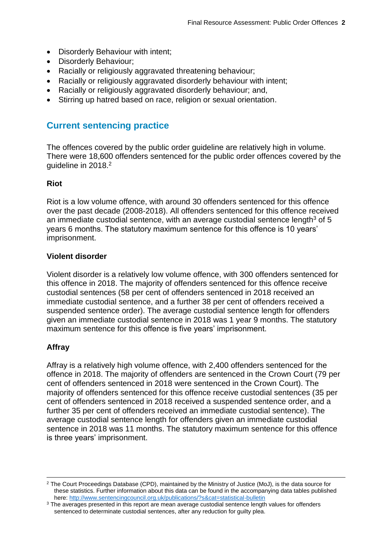- Disorderly Behaviour with intent;
- Disorderly Behaviour;
- Racially or religiously aggravated threatening behaviour;
- Racially or religiously aggravated disorderly behaviour with intent;
- Racially or religiously aggravated disorderly behaviour: and,
- Stirring up hatred based on race, religion or sexual orientation.

### **Current sentencing practice**

The offences covered by the public order guideline are relatively high in volume. There were 18,600 offenders sentenced for the public order offences covered by the guideline in 2018.<sup>2</sup>

#### **Riot**

Riot is a low volume offence, with around 30 offenders sentenced for this offence over the past decade (2008-2018). All offenders sentenced for this offence received an immediate custodial sentence, with an average custodial sentence length<sup>3</sup> of 5 years 6 months. The statutory maximum sentence for this offence is 10 years' imprisonment.

#### **Violent disorder**

Violent disorder is a relatively low volume offence, with 300 offenders sentenced for this offence in 2018. The majority of offenders sentenced for this offence receive custodial sentences (58 per cent of offenders sentenced in 2018 received an immediate custodial sentence, and a further 38 per cent of offenders received a suspended sentence order). The average custodial sentence length for offenders given an immediate custodial sentence in 2018 was 1 year 9 months. The statutory maximum sentence for this offence is five years' imprisonment.

#### **Affray**

 $\overline{a}$ 

Affray is a relatively high volume offence, with 2,400 offenders sentenced for the offence in 2018. The majority of offenders are sentenced in the Crown Court (79 per cent of offenders sentenced in 2018 were sentenced in the Crown Court). The majority of offenders sentenced for this offence receive custodial sentences (35 per cent of offenders sentenced in 2018 received a suspended sentence order, and a further 35 per cent of offenders received an immediate custodial sentence). The average custodial sentence length for offenders given an immediate custodial sentence in 2018 was 11 months. The statutory maximum sentence for this offence is three years' imprisonment.

<sup>2</sup> The Court Proceedings Database (CPD), maintained by the Ministry of Justice (MoJ), is the data source for these statistics. Further information about this data can be found in the accompanying data tables published here: <http://www.sentencingcouncil.org.uk/publications/?s&cat=statistical-bulletin>

<sup>&</sup>lt;sup>3</sup> The averages presented in this report are mean average custodial sentence length values for offenders sentenced to determinate custodial sentences, after any reduction for guilty plea.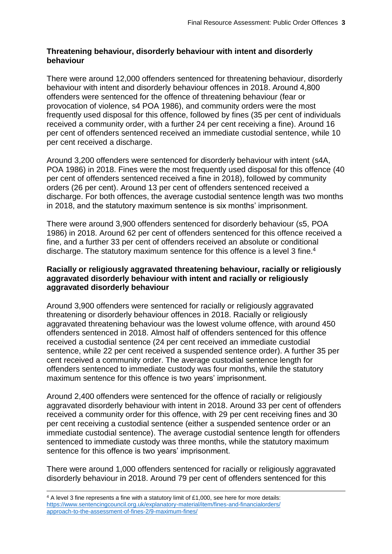#### **Threatening behaviour, disorderly behaviour with intent and disorderly behaviour**

There were around 12,000 offenders sentenced for threatening behaviour, disorderly behaviour with intent and disorderly behaviour offences in 2018. Around 4,800 offenders were sentenced for the offence of threatening behaviour (fear or provocation of violence, s4 POA 1986), and community orders were the most frequently used disposal for this offence, followed by fines (35 per cent of individuals received a community order, with a further 24 per cent receiving a fine). Around 16 per cent of offenders sentenced received an immediate custodial sentence, while 10 per cent received a discharge.

Around 3,200 offenders were sentenced for disorderly behaviour with intent (s4A, POA 1986) in 2018. Fines were the most frequently used disposal for this offence (40 per cent of offenders sentenced received a fine in 2018), followed by community orders (26 per cent). Around 13 per cent of offenders sentenced received a discharge. For both offences, the average custodial sentence length was two months in 2018, and the statutory maximum sentence is six months' imprisonment.

There were around 3,900 offenders sentenced for disorderly behaviour (s5, POA 1986) in 2018. Around 62 per cent of offenders sentenced for this offence received a fine, and a further 33 per cent of offenders received an absolute or conditional discharge. The statutory maximum sentence for this offence is a level 3 fine.<sup>4</sup>

#### **Racially or religiously aggravated threatening behaviour, racially or religiously aggravated disorderly behaviour with intent and racially or religiously aggravated disorderly behaviour**

Around 3,900 offenders were sentenced for racially or religiously aggravated threatening or disorderly behaviour offences in 2018. Racially or religiously aggravated threatening behaviour was the lowest volume offence, with around 450 offenders sentenced in 2018. Almost half of offenders sentenced for this offence received a custodial sentence (24 per cent received an immediate custodial sentence, while 22 per cent received a suspended sentence order). A further 35 per cent received a community order. The average custodial sentence length for offenders sentenced to immediate custody was four months, while the statutory maximum sentence for this offence is two years' imprisonment.

Around 2,400 offenders were sentenced for the offence of racially or religiously aggravated disorderly behaviour with intent in 2018. Around 33 per cent of offenders received a community order for this offence, with 29 per cent receiving fines and 30 per cent receiving a custodial sentence (either a suspended sentence order or an immediate custodial sentence). The average custodial sentence length for offenders sentenced to immediate custody was three months, while the statutory maximum sentence for this offence is two years' imprisonment.

There were around 1,000 offenders sentenced for racially or religiously aggravated disorderly behaviour in 2018. Around 79 per cent of offenders sentenced for this

 $\overline{a}$ 

<sup>4</sup> A level 3 fine represents a fine with a statutory limit of £1,000, see here for more details: <https://www.sentencingcouncil.org.uk/explanatory-material/item/fines-and-financialorders/> [approach-to-the-assessment-of-fines-2/9-maximum-fines/](https://www.sentencingcouncil.org.uk/explanatory-material/item/fines-and-financialorders/)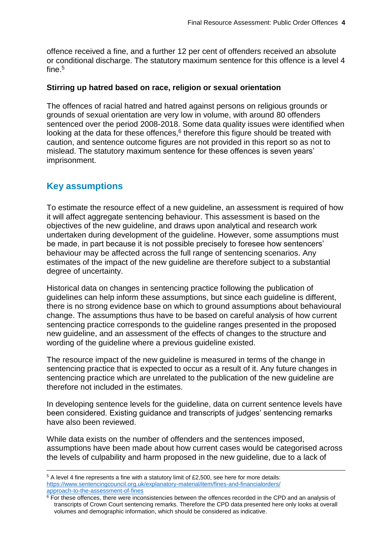offence received a fine, and a further 12 per cent of offenders received an absolute or conditional discharge. The statutory maximum sentence for this offence is a level 4 fine.<sup>5</sup>

#### **Stirring up hatred based on race, religion or sexual orientation**

The offences of racial hatred and hatred against persons on religious grounds or grounds of sexual orientation are very low in volume, with around 80 offenders sentenced over the period 2008-2018. Some data quality issues were identified when looking at the data for these offences, $6$  therefore this figure should be treated with caution, and sentence outcome figures are not provided in this report so as not to mislead. The statutory maximum sentence for these offences is seven years' imprisonment.

## **Key assumptions**

 $\overline{a}$ 

To estimate the resource effect of a new guideline, an assessment is required of how it will affect aggregate sentencing behaviour. This assessment is based on the objectives of the new guideline, and draws upon analytical and research work undertaken during development of the guideline. However, some assumptions must be made, in part because it is not possible precisely to foresee how sentencers' behaviour may be affected across the full range of sentencing scenarios. Any estimates of the impact of the new guideline are therefore subject to a substantial degree of uncertainty.

Historical data on changes in sentencing practice following the publication of guidelines can help inform these assumptions, but since each guideline is different, there is no strong evidence base on which to ground assumptions about behavioural change. The assumptions thus have to be based on careful analysis of how current sentencing practice corresponds to the guideline ranges presented in the proposed new guideline, and an assessment of the effects of changes to the structure and wording of the guideline where a previous guideline existed.

The resource impact of the new guideline is measured in terms of the change in sentencing practice that is expected to occur as a result of it. Any future changes in sentencing practice which are unrelated to the publication of the new guideline are therefore not included in the estimates.

In developing sentence levels for the guideline, data on current sentence levels have been considered. Existing guidance and transcripts of judges' sentencing remarks have also been reviewed.

While data exists on the number of offenders and the sentences imposed, assumptions have been made about how current cases would be categorised across the levels of culpability and harm proposed in the new guideline, due to a lack of

 $5$  A level 4 fine represents a fine with a statutory limit of £2,500, see here for more details: [https://www.sentencingcouncil.org.uk/explanatory-material/item/fines-and-financialorders/](file://///dom1.infra.int/data/hq/Steel_House/Shared/SGC/Sentencing%20Council/008-%20Guidelines/Public%20Order/002%20-%20Data,%20Analysis%20&%20Research/005-Resource%20Assessment/002-Definitive%20Guideline/A%20level%204%20fine%20represents%20a%20fine%20with%20a%20statutory%20limit%20of%20£2,500,%20see%20here%20for%20more%20details:) [approach-to-the-assessment-of-fines](file://///dom1.infra.int/data/hq/Steel_House/Shared/SGC/Sentencing%20Council/008-%20Guidelines/Public%20Order/002%20-%20Data,%20Analysis%20&%20Research/005-Resource%20Assessment/002-Definitive%20Guideline/A%20level%204%20fine%20represents%20a%20fine%20with%20a%20statutory%20limit%20of%20£2,500,%20see%20here%20for%20more%20details:)

 $6$  For these offences, there were inconsistencies between the offences recorded in the CPD and an analysis of transcripts of Crown Court sentencing remarks. Therefore the CPD data presented here only looks at overall volumes and demographic information, which should be considered as indicative.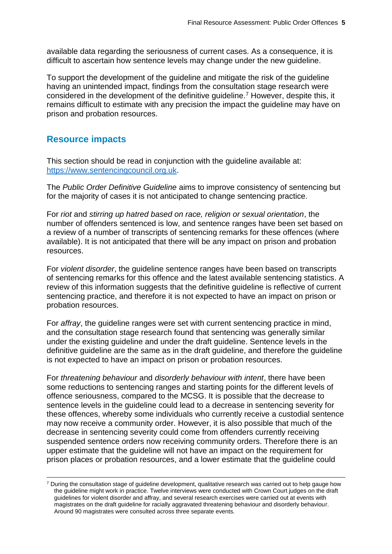available data regarding the seriousness of current cases. As a consequence, it is difficult to ascertain how sentence levels may change under the new guideline.

To support the development of the guideline and mitigate the risk of the guideline having an unintended impact, findings from the consultation stage research were considered in the development of the definitive guideline.<sup>7</sup> However, despite this, it remains difficult to estimate with any precision the impact the guideline may have on prison and probation resources.

#### **Resource impacts**

 $\overline{a}$ 

This section should be read in conjunction with the guideline available at: [https://www.sentencingcouncil.org.uk.](https://www.sentencingcouncil.org.uk/)

The *Public Order Definitive Guideline* aims to improve consistency of sentencing but for the majority of cases it is not anticipated to change sentencing practice.

For *riot* and *stirring up hatred based on race, religion or sexual orientation*, the number of offenders sentenced is low, and sentence ranges have been set based on a review of a number of transcripts of sentencing remarks for these offences (where available). It is not anticipated that there will be any impact on prison and probation resources.

For *violent disorder*, the guideline sentence ranges have been based on transcripts of sentencing remarks for this offence and the latest available sentencing statistics. A review of this information suggests that the definitive guideline is reflective of current sentencing practice, and therefore it is not expected to have an impact on prison or probation resources.

For *affray*, the guideline ranges were set with current sentencing practice in mind, and the consultation stage research found that sentencing was generally similar under the existing guideline and under the draft guideline. Sentence levels in the definitive guideline are the same as in the draft guideline, and therefore the guideline is not expected to have an impact on prison or probation resources.

For *threatening behaviour* and *disorderly behaviour with intent*, there have been some reductions to sentencing ranges and starting points for the different levels of offence seriousness, compared to the MCSG. It is possible that the decrease to sentence levels in the guideline could lead to a decrease in sentencing severity for these offences, whereby some individuals who currently receive a custodial sentence may now receive a community order. However, it is also possible that much of the decrease in sentencing severity could come from offenders currently receiving suspended sentence orders now receiving community orders. Therefore there is an upper estimate that the guideline will not have an impact on the requirement for prison places or probation resources, and a lower estimate that the guideline could

<sup>&</sup>lt;sup>7</sup> During the consultation stage of guideline development, qualitative research was carried out to help gauge how the guideline might work in practice. Twelve interviews were conducted with Crown Court judges on the draft guidelines for violent disorder and affray, and several research exercises were carried out at events with magistrates on the draft guideline for racially aggravated threatening behaviour and disorderly behaviour. Around 90 magistrates were consulted across three separate events.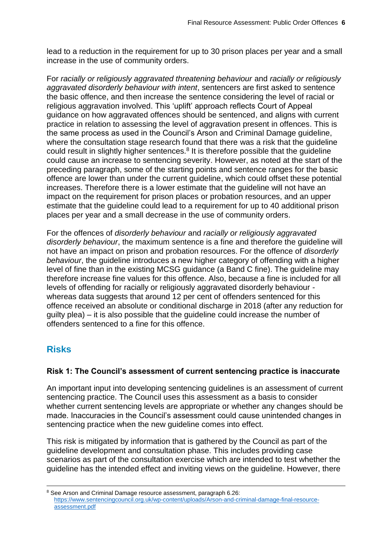lead to a reduction in the requirement for up to 30 prison places per year and a small increase in the use of community orders.

For *racially or religiously aggravated threatening behaviour* and *racially or religiously aggravated disorderly behaviour with intent*, sentencers are first asked to sentence the basic offence, and then increase the sentence considering the level of racial or religious aggravation involved. This 'uplift' approach reflects Court of Appeal guidance on how aggravated offences should be sentenced, and aligns with current practice in relation to assessing the level of aggravation present in offences. This is the same process as used in the Council's Arson and Criminal Damage guideline, where the consultation stage research found that there was a risk that the guideline could result in slightly higher sentences. $8$  It is therefore possible that the guideline could cause an increase to sentencing severity. However, as noted at the start of the preceding paragraph, some of the starting points and sentence ranges for the basic offence are lower than under the current guideline, which could offset these potential increases. Therefore there is a lower estimate that the guideline will not have an impact on the requirement for prison places or probation resources, and an upper estimate that the guideline could lead to a requirement for up to 40 additional prison places per year and a small decrease in the use of community orders.

For the offences of *disorderly behaviour* and *racially or religiously aggravated disorderly behaviour*, the maximum sentence is a fine and therefore the guideline will not have an impact on prison and probation resources. For the offence of *disorderly behaviour*, the guideline introduces a new higher category of offending with a higher level of fine than in the existing MCSG guidance (a Band C fine). The guideline may therefore increase fine values for this offence. Also, because a fine is included for all levels of offending for racially or religiously aggravated disorderly behaviour whereas data suggests that around 12 per cent of offenders sentenced for this offence received an absolute or conditional discharge in 2018 (after any reduction for guilty plea) – it is also possible that the guideline could increase the number of offenders sentenced to a fine for this offence.

# **Risks**

 $\overline{a}$ 

#### **Risk 1: The Council's assessment of current sentencing practice is inaccurate**

An important input into developing sentencing guidelines is an assessment of current sentencing practice. The Council uses this assessment as a basis to consider whether current sentencing levels are appropriate or whether any changes should be made. Inaccuracies in the Council's assessment could cause unintended changes in sentencing practice when the new guideline comes into effect.

This risk is mitigated by information that is gathered by the Council as part of the guideline development and consultation phase. This includes providing case scenarios as part of the consultation exercise which are intended to test whether the guideline has the intended effect and inviting views on the guideline. However, there

<sup>8</sup> See Arson and Criminal Damage resource assessment, paragraph 6.26: [https://www.sentencingcouncil.org.uk/wp-content/uploads/Arson-and-criminal-damage-final-resource](https://www.sentencingcouncil.org.uk/wp-content/uploads/Arson-and-criminal-damage-final-resource-assessment.pdf)[assessment.pdf](https://www.sentencingcouncil.org.uk/wp-content/uploads/Arson-and-criminal-damage-final-resource-assessment.pdf)